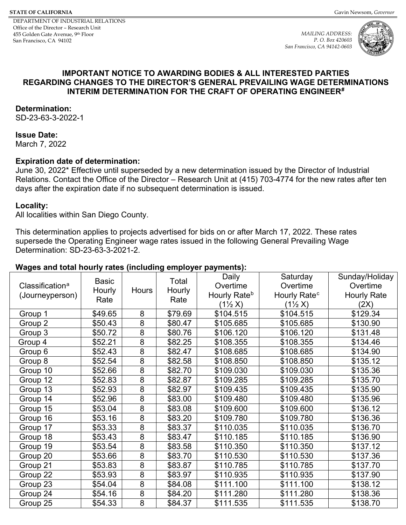<span id="page-0-2"></span>*MAILING ADDRESS: P. O. Box 420603 San Francisco, CA 94142-0603*



### **IMPORTANT NOTICE TO AWARDING BODIES & ALL INTERESTED PARTIES REGARDING CHANGES TO THE DIRECTOR'S GENERAL PREVAILING WAGE DETERMINATIONS INTERIM DETERMINATION FOR THE CRAFT OF OPERATING ENGINEER[#](#page-10-0)**

#### **Determination:**

SD-23-63-3-2022-1

### **Issue Date:**

March 7, 2022

### **Expiration date of determination:**

June 30, 2022\* Effective until superseded by a new determination issued by the Director of Industrial Relations. Contact the Office of the Director – Research Unit at (415) 703-4774 for the new rates after ten days after the expiration date if no subsequent determination is issued.

#### **Locality:**

All localities within San Diego County.

This determination applies to projects advertised for bids on or after March 17, 2022. These rates supersede the Operating Engineer wage rates issued in the following General Prevailing Wage Determination: SD-23-63-3-2021-2.

### <span id="page-0-1"></span><span id="page-0-0"></span>**Wages and total hourly rates (including employer payments):**

| Classification <sup>a</sup><br>(Journeyperson) | <b>Basic</b><br>Hourly<br>Rate | <b>Hours</b>   | Total<br>Hourly<br>Rate | Daily<br>Overtime<br>Hourly Rate <sup>b</sup><br>$(1\frac{1}{2}X)$ | Saturday<br>Overtime<br>Hourly Rate <sup>c</sup><br>$(1\frac{1}{2}X)$ | Sunday/Holiday<br>Overtime<br><b>Hourly Rate</b><br>(2X) |
|------------------------------------------------|--------------------------------|----------------|-------------------------|--------------------------------------------------------------------|-----------------------------------------------------------------------|----------------------------------------------------------|
| Group 1                                        | \$49.65                        | 8              | \$79.69                 | \$104.515                                                          | \$104.515                                                             | \$129.34                                                 |
| Group 2                                        | \$50.43                        | $\overline{8}$ | \$80.47                 | \$105.685                                                          | \$105.685                                                             | \$130.90                                                 |
| Group 3                                        | \$50.72                        | $\overline{8}$ | \$80.76                 | \$106.120                                                          | \$106.120                                                             | \$131.48                                                 |
| Group 4                                        | \$52.21                        | 8              | \$82.25                 | \$108.355                                                          | \$108.355                                                             | \$134.46                                                 |
| Group 6                                        | \$52.43                        | 8              | \$82.47                 | \$108.685                                                          | \$108.685                                                             | \$134.90                                                 |
| Group 8                                        | \$52.54                        | 8              | \$82.58                 | \$108.850                                                          | \$108.850                                                             | \$135.12                                                 |
| Group 10                                       | \$52.66                        | $\overline{8}$ | \$82.70                 | \$109.030                                                          | \$109.030                                                             | \$135.36                                                 |
| Group 12                                       | \$52.83                        | $\overline{8}$ | \$82.87                 | \$109.285                                                          | \$109.285                                                             | \$135.70                                                 |
| Group 13                                       | \$52.93                        | $\overline{8}$ | \$82.97                 | \$109.435                                                          | \$109.435                                                             | \$135.90                                                 |
| Group 14                                       | \$52.96                        | 8              | \$83.00                 | \$109.480                                                          | \$109.480                                                             | \$135.96                                                 |
| Group 15                                       | \$53.04                        | 8              | \$83.08                 | \$109.600                                                          | \$109.600                                                             | \$136.12                                                 |
| Group 16                                       | \$53.16                        | $\overline{8}$ | \$83.20                 | \$109.780                                                          | \$109.780                                                             | \$136.36                                                 |
| Group 17                                       | \$53.33                        | $\overline{8}$ | \$83.37                 | \$110.035                                                          | \$110.035                                                             | \$136.70                                                 |
| Group 18                                       | \$53.43                        | 8              | \$83.47                 | \$110.185                                                          | \$110.185                                                             | \$136.90                                                 |
| Group 19                                       | \$53.54                        | 8              | \$83.58                 | \$110.350                                                          | \$110.350                                                             | \$137.12                                                 |
| Group 20                                       | \$53.66                        | $\overline{8}$ | \$83.70                 | \$110.530                                                          | \$110.530                                                             | \$137.36                                                 |
| Group 21                                       | \$53.83                        | $\overline{8}$ | \$83.87                 | \$110.785                                                          | \$110.785                                                             | \$137.70                                                 |
| Group 22                                       | \$53.93                        | $\overline{8}$ | \$83.97                 | \$110.935                                                          | \$110.935                                                             | \$137.90                                                 |
| Group 23                                       | \$54.04                        | 8              | \$84.08                 | \$111.100                                                          | \$111.100                                                             | \$138.12                                                 |
| Group 24                                       | \$54.16                        | 8              | \$84.20                 | \$111.280                                                          | \$111.280                                                             | \$138.36                                                 |
| Group 25                                       | \$54.33                        | 8              | \$84.37                 | \$111.535                                                          | \$111.535                                                             | \$138.70                                                 |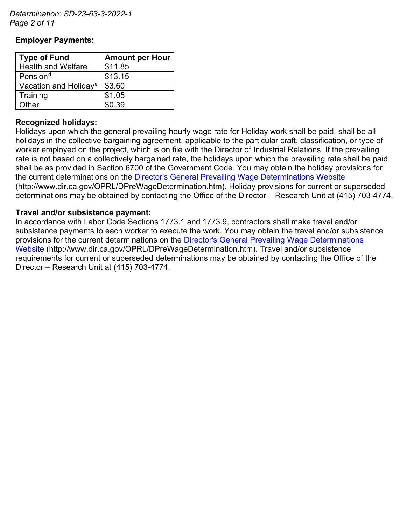*Determination: SD-23-63-3-2022-1 Page 2 of 11*

### **Employer Payments:**

<span id="page-1-1"></span><span id="page-1-0"></span>

| <b>Type of Fund</b>               | <b>Amount per Hour</b> |  |  |
|-----------------------------------|------------------------|--|--|
| <b>Health and Welfare</b>         | \$11.85                |  |  |
| Pension <sup>d</sup>              | \$13.15                |  |  |
| Vacation and Holiday <sup>e</sup> | \$3.60                 |  |  |
| Training                          | \$1.05                 |  |  |
| Other                             | \$0.39                 |  |  |

### **Recognized holidays:**

Holidays upon which the general prevailing hourly wage rate for Holiday work shall be paid, shall be all holidays in the collective bargaining agreement, applicable to the particular craft, classification, or type of worker employed on the project, which is on file with the Director of Industrial Relations. If the prevailing rate is not based on a collectively bargained rate, the holidays upon which the prevailing rate shall be paid shall be as provided in Section 6700 of the Government Code. You may obtain the holiday provisions for the current determinations on the [Director's General Prevailing Wage Determinations Website](https://www.dir.ca.gov/OPRL/DPreWageDetermination.htm) (http://www.dir.ca.gov/OPRL/DPreWageDetermination.htm). Holiday provisions for current or superseded determinations may be obtained by contacting the Office of the Director – Research Unit at (415) 703-4774.

### **Travel and/or subsistence payment:**

In accordance with Labor Code Sections 1773.1 and 1773.9, contractors shall make travel and/or subsistence payments to each worker to execute the work. You may obtain the travel and/or subsistence provisions for the current determinations on the [Director's General Prevailing Wage Determinations](https://www.dir.ca.gov/OPRL/DPreWageDetermination.htm)  [Website](https://www.dir.ca.gov/OPRL/DPreWageDetermination.htm) (http://www.dir.ca.gov/OPRL/DPreWageDetermination.htm). Travel and/or subsistence requirements for current or superseded determinations may be obtained by contacting the Office of the Director – Research Unit at (415) 703-4774.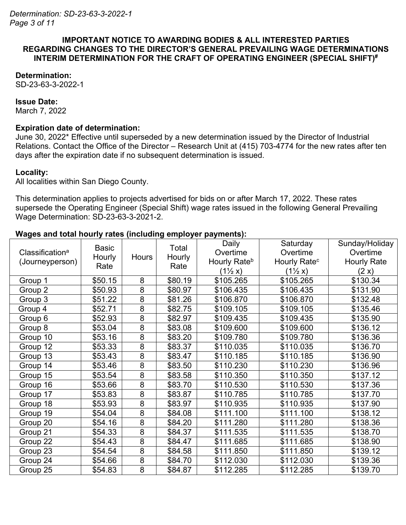#### **IMPORTANT NOTICE TO AWARDING BODIES & ALL INTERESTED PARTIES REGARDING CHANGES TO THE DIRECTOR'S GENERAL PREVAILING WAGE DETERMINATIONS INTERIM DETERMINATION FOR THE CRAFT OF OPERATING ENGINEER (SPECIAL SHIFT)#**

### **Determination:**

SD-23-63-3-2022-1

#### **Issue Date:**

March 7, 2022

### **Expiration date of determination:**

June 30, 2022\* Effective until superseded by a new determination issued by the Director of Industrial Relations. Contact the Office of the Director – Research Unit at (415) 703-4774 for the new rates after ten days after the expiration date if no subsequent determination is issued.

### **Locality:**

All localities within San Diego County.

This determination applies to projects advertised for bids on or after March 17, 2022. These rates supersede the Operating Engineer (Special Shift) wage rates issued in the following General Prevailing Wage Determination: SD-23-63-3-2021-2.

### **Wages and total hourly rates (including employer payments):**

| Classification <sup>a</sup><br>(Journeyperson) | <b>Basic</b><br>Hourly<br>Rate | Hours          | Total<br>Hourly<br>Rate | Daily<br>Overtime<br>Hourly Rate <sup>b</sup> | Saturday<br>Overtime<br>Hourly Rate <sup>c</sup> | Sunday/Holiday<br>Overtime<br><b>Hourly Rate</b> |
|------------------------------------------------|--------------------------------|----------------|-------------------------|-----------------------------------------------|--------------------------------------------------|--------------------------------------------------|
|                                                |                                |                |                         | $(1\frac{1}{2}x)$                             | $(1\frac{1}{2}x)$                                | (2 x)                                            |
| Group 1                                        | \$50.15                        | 8              | \$80.19                 | \$105.265                                     | \$105.265                                        | \$130.34                                         |
| Group 2                                        | \$50.93                        | 8              | \$80.97                 | \$106.435                                     | \$106.435                                        | \$131.90                                         |
| Group 3                                        | \$51.22                        | 8              | \$81.26                 | \$106.870                                     | \$106.870                                        | \$132.48                                         |
| Group 4                                        | \$52.71                        | 8              | \$82.75                 | \$109.105                                     | \$109.105                                        | \$135.46                                         |
| Group 6                                        | \$52.93                        | 8              | \$82.97                 | \$109.435                                     | \$109.435                                        | \$135.90                                         |
| Group 8                                        | \$53.04                        | 8              | \$83.08                 | \$109.600                                     | \$109.600                                        | \$136.12                                         |
| Group 10                                       | \$53.16                        | 8              | \$83.20                 | \$109.780                                     | \$109.780                                        | \$136.36                                         |
| Group 12                                       | \$53.33                        | 8              | \$83.37                 | \$110.035                                     | \$110.035                                        | \$136.70                                         |
| Group 13                                       | \$53.43                        | 8              | \$83.47                 | \$110.185                                     | \$110.185                                        | \$136.90                                         |
| Group 14                                       | \$53.46                        | $\overline{8}$ | \$83.50                 | \$110.230                                     | \$110.230                                        | \$136.96                                         |
| Group 15                                       | \$53.54                        | 8              | \$83.58                 | \$110.350                                     | \$110.350                                        | \$137.12                                         |
| Group 16                                       | \$53.66                        | 8              | \$83.70                 | \$110.530                                     | \$110.530                                        | \$137.36                                         |
| Group 17                                       | \$53.83                        | 8              | \$83.87                 | \$110.785                                     | \$110.785                                        | \$137.70                                         |
| Group 18                                       | \$53.93                        | 8              | \$83.97                 | \$110.935                                     | \$110.935                                        | \$137.90                                         |
| Group 19                                       | \$54.04                        | 8              | \$84.08                 | \$111.100                                     | \$111.100                                        | \$138.12                                         |
| Group 20                                       | \$54.16                        | $\overline{8}$ | \$84.20                 | \$111.280                                     | \$111.280                                        | \$138.36                                         |
| Group 21                                       | \$54.33                        | 8              | \$84.37                 | \$111.535                                     | \$111.535                                        | \$138.70                                         |
| Group 22                                       | \$54.43                        | 8              | \$84.47                 | \$111.685                                     | \$111.685                                        | \$138.90                                         |
| Group 23                                       | \$54.54                        | 8              | \$84.58                 | \$111.850                                     | \$111.850                                        | \$139.12                                         |
| Group 24                                       | \$54.66                        | 8              | \$84.70                 | \$112.030                                     | \$112.030                                        | \$139.36                                         |
| Group 25                                       | \$54.83                        | 8              | \$84.87                 | \$112.285                                     | \$112.285                                        | \$139.70                                         |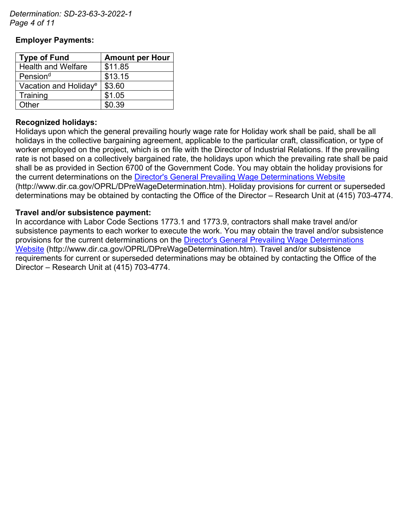*Determination: SD-23-63-3-2022-1 Page 4 of 11*

### **Employer Payments:**

| <b>Type of Fund</b>               | <b>Amount per Hour</b> |  |  |
|-----------------------------------|------------------------|--|--|
| <b>Health and Welfare</b>         | \$11.85                |  |  |
| Pension <sup>d</sup>              | \$13.15                |  |  |
| Vacation and Holiday <sup>e</sup> | \$3.60                 |  |  |
| Training                          | \$1.05                 |  |  |
| Other                             | \$0.39                 |  |  |

### **Recognized holidays:**

Holidays upon which the general prevailing hourly wage rate for Holiday work shall be paid, shall be all holidays in the collective bargaining agreement, applicable to the particular craft, classification, or type of worker employed on the project, which is on file with the Director of Industrial Relations. If the prevailing rate is not based on a collectively bargained rate, the holidays upon which the prevailing rate shall be paid shall be as provided in Section 6700 of the Government Code. You may obtain the holiday provisions for the current determinations on the [Director's General Prevailing Wage Determinations Website](https://www.dir.ca.gov/OPRL/DPreWageDetermination.htm) (http://www.dir.ca.gov/OPRL/DPreWageDetermination.htm). Holiday provisions for current or superseded determinations may be obtained by contacting the Office of the Director – Research Unit at (415) 703-4774.

### **Travel and/or subsistence payment:**

In accordance with Labor Code Sections 1773.1 and 1773.9, contractors shall make travel and/or subsistence payments to each worker to execute the work. You may obtain the travel and/or subsistence provisions for the current determinations on the [Director's General Prevailing Wage Determinations](https://www.dir.ca.gov/OPRL/DPreWageDetermination.htm)  [Website](https://www.dir.ca.gov/OPRL/DPreWageDetermination.htm) (http://www.dir.ca.gov/OPRL/DPreWageDetermination.htm). Travel and/or subsistence requirements for current or superseded determinations may be obtained by contacting the Office of the Director – Research Unit at (415) 703-4774.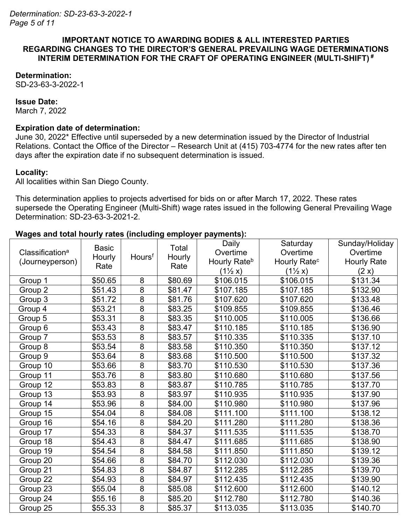#### **IMPORTANT NOTICE TO AWARDING BODIES & ALL INTERESTED PARTIES REGARDING CHANGES TO THE DIRECTOR'S GENERAL PREVAILING WAGE DETERMINATIONS INTERIM DETERMINATION FOR THE CRAFT OF OPERATING ENGINEER (MULTI-SHIFT) #**

### **Determination:**

SD-23-63-3-2022-1

#### **Issue Date:**

March 7, 2022

### **Expiration date of determination:**

June 30, 2022\* Effective until superseded by a new determination issued by the Director of Industrial Relations. Contact the Office of the Director – Research Unit at (415) 703-4774 for the new rates after ten days after the expiration date if no subsequent determination is issued.

### **Locality:**

All localities within San Diego County.

This determination applies to projects advertised for bids on or after March 17, 2022. These rates supersede the Operating Engineer (Multi-Shift) wage rates issued in the following General Prevailing Wage Determination: SD-23-63-3-2021-2.

### **Wages and total hourly rates (including employer payments):**

|                             | <b>Basic</b> |                    | Total   | Daily                    | Saturday                 | Sunday/Holiday     |
|-----------------------------|--------------|--------------------|---------|--------------------------|--------------------------|--------------------|
| Classification <sup>a</sup> | Hourly       | Hours <sup>t</sup> | Hourly  | Overtime                 | Overtime                 | Overtime           |
| (Journeyperson)             | Rate         |                    | Rate    | Hourly Rate <sup>b</sup> | Hourly Rate <sup>c</sup> | <b>Hourly Rate</b> |
|                             |              |                    |         | $(1\frac{1}{2}x)$        | $(1\frac{1}{2}x)$        | (2 x)              |
| Group 1                     | \$50.65      | 8                  | \$80.69 | \$106.015                | \$106.015                | \$131.34           |
| Group 2                     | \$51.43      | $\overline{8}$     | \$81.47 | \$107.185                | \$107.185                | \$132.90           |
| Group 3                     | \$51.72      | 8                  | \$81.76 | \$107.620                | \$107.620                | \$133.48           |
| Group 4                     | \$53.21      | 8                  | \$83.25 | \$109.855                | \$109.855                | \$136.46           |
| Group 5                     | \$53.31      | 8                  | \$83.35 | \$110.005                | \$110.005                | \$136.66           |
| Group 6                     | \$53.43      | $\overline{8}$     | \$83.47 | \$110.185                | \$110.185                | \$136.90           |
| Group 7                     | \$53.53      | $\overline{8}$     | \$83.57 | \$110.335                | \$110.335                | \$137.10           |
| Group 8                     | \$53.54      | $\overline{8}$     | \$83.58 | \$110.350                | \$110.350                | \$137.12           |
| Group 9                     | \$53.64      | $\overline{8}$     | \$83.68 | \$110.500                | \$110.500                | \$137.32           |
| Group 10                    | \$53.66      | 8                  | \$83.70 | \$110.530                | \$110.530                | \$137.36           |
| Group 11                    | \$53.76      | $\overline{8}$     | \$83.80 | \$110.680                | \$110.680                | \$137.56           |
| Group 12                    | \$53.83      | 8                  | \$83.87 | \$110.785                | \$110.785                | \$137.70           |
| Group 13                    | \$53.93      | 8                  | \$83.97 | \$110.935                | \$110.935                | \$137.90           |
| Group 14                    | \$53.96      | $\overline{8}$     | \$84.00 | \$110.980                | \$110.980                | \$137.96           |
| Group 15                    | \$54.04      | $\overline{8}$     | \$84.08 | \$111.100                | \$111.100                | \$138.12           |
| Group 16                    | \$54.16      | $\overline{8}$     | \$84.20 | \$111.280                | \$111.280                | \$138.36           |
| Group 17                    | \$54.33      | 8                  | \$84.37 | \$111.535                | \$111.535                | \$138.70           |
| Group 18                    | \$54.43      | 8                  | \$84.47 | \$111.685                | \$111.685                | \$138.90           |
| Group 19                    | \$54.54      | $\overline{8}$     | \$84.58 | \$111.850                | \$111.850                | \$139.12           |
| Group 20                    | \$54.66      | $\overline{8}$     | \$84.70 | \$112.030                | \$112.030                | \$139.36           |
| Group 21                    | \$54.83      | 8                  | \$84.87 | \$112.285                | \$112.285                | \$139.70           |
| Group 22                    | \$54.93      | $\overline{8}$     | \$84.97 | \$112.435                | \$112.435                | \$139.90           |
| Group 23                    | \$55.04      | $\overline{8}$     | \$85.08 | \$112.600                | \$112.600                | \$140.12           |
| Group 24                    | \$55.16      | 8                  | \$85.20 | \$112.780                | \$112.780                | \$140.36           |
| Group 25                    | \$55.33      | $\overline{8}$     | \$85.37 | \$113.035                | \$113.035                | \$140.70           |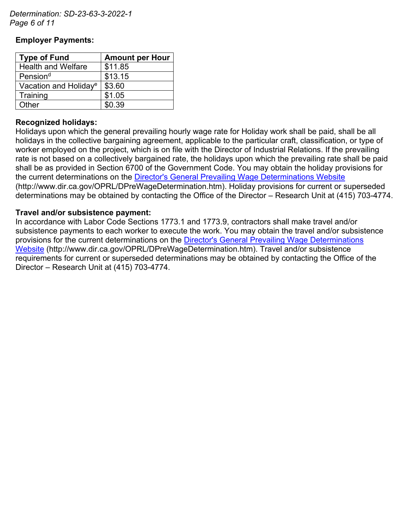*Determination: SD-23-63-3-2022-1 Page 6 of 11*

### **Employer Payments:**

| <b>Type of Fund</b>               | <b>Amount per Hour</b> |  |  |
|-----------------------------------|------------------------|--|--|
| <b>Health and Welfare</b>         | \$11.85                |  |  |
| Pension <sup>d</sup>              | \$13.15                |  |  |
| Vacation and Holiday <sup>e</sup> | \$3.60                 |  |  |
| Training                          | \$1.05                 |  |  |
| Other                             | \$0.39                 |  |  |

### **Recognized holidays:**

Holidays upon which the general prevailing hourly wage rate for Holiday work shall be paid, shall be all holidays in the collective bargaining agreement, applicable to the particular craft, classification, or type of worker employed on the project, which is on file with the Director of Industrial Relations. If the prevailing rate is not based on a collectively bargained rate, the holidays upon which the prevailing rate shall be paid shall be as provided in Section 6700 of the Government Code. You may obtain the holiday provisions for the current determinations on the [Director's General Prevailing Wage Determinations Website](https://www.dir.ca.gov/OPRL/DPreWageDetermination.htm) (http://www.dir.ca.gov/OPRL/DPreWageDetermination.htm). Holiday provisions for current or superseded determinations may be obtained by contacting the Office of the Director – Research Unit at (415) 703-4774.

### **Travel and/or subsistence payment:**

In accordance with Labor Code Sections 1773.1 and 1773.9, contractors shall make travel and/or subsistence payments to each worker to execute the work. You may obtain the travel and/or subsistence provisions for the current determinations on the [Director's General Prevailing Wage Determinations](https://www.dir.ca.gov/OPRL/DPreWageDetermination.htm)  [Website](https://www.dir.ca.gov/OPRL/DPreWageDetermination.htm) (http://www.dir.ca.gov/OPRL/DPreWageDetermination.htm). Travel and/or subsistence requirements for current or superseded determinations may be obtained by contacting the Office of the Director – Research Unit at (415) 703-4774.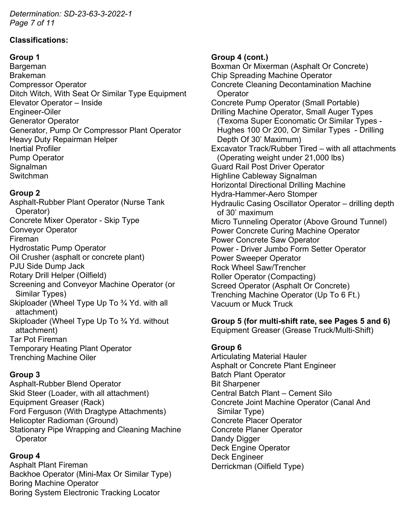*Determination: SD-23-63-3-2022-1 Page 7 of 11*

### **Classifications:**

### **Group 1**

Bargeman Brakeman Compressor Operator Ditch Witch, With Seat Or Similar Type Equipment Elevator Operator – Inside Engineer-Oiler Generator Operator Generator, Pump Or Compressor Plant Operator Heavy Duty Repairman Helper Inertial Profiler Pump Operator Signalman Switchman

# **Group 2**

Asphalt-Rubber Plant Operator (Nurse Tank Operator) Concrete Mixer Operator - Skip Type Conveyor Operator Fireman Hydrostatic Pump Operator Oil Crusher (asphalt or concrete plant) PJU Side Dump Jack Rotary Drill Helper (Oilfield) Screening and Conveyor Machine Operator (or Similar Types) Skiploader (Wheel Type Up To ¾ Yd. with all attachment) Skiploader (Wheel Type Up To ¾ Yd. without attachment) Tar Pot Fireman Temporary Heating Plant Operator Trenching Machine Oiler

# **Group 3**

Asphalt-Rubber Blend Operator Skid Steer (Loader, with all attachment) Equipment Greaser (Rack) Ford Ferguson (With Dragtype Attachments) Helicopter Radioman (Ground) Stationary Pipe Wrapping and Cleaning Machine **Operator** 

# **Group 4**

Asphalt Plant Fireman Backhoe Operator (Mini-Max Or Similar Type) Boring Machine Operator Boring System Electronic Tracking Locator

### **Group 4 (cont.)**

Boxman Or Mixerman (Asphalt Or Concrete) Chip Spreading Machine Operator Concrete Cleaning Decontamination Machine **Operator** Concrete Pump Operator (Small Portable) Drilling Machine Operator, Small Auger Types (Texoma Super Economatic Or Similar Types - Hughes 100 Or 200, Or Similar Types - Drilling Depth Of 30' Maximum) Excavator Track/Rubber Tired – with all attachments (Operating weight under 21,000 lbs) Guard Rail Post Driver Operator Highline Cableway Signalman Horizontal Directional Drilling Machine Hydra-Hammer-Aero Stomper Hydraulic Casing Oscillator Operator – drilling depth of 30' maximum Micro Tunneling Operator (Above Ground Tunnel) Power Concrete Curing Machine Operator Power Concrete Saw Operator Power - Driver Jumbo Form Setter Operator Power Sweeper Operator Rock Wheel Saw/Trencher Roller Operator (Compacting) Screed Operator (Asphalt Or Concrete) Trenching Machine Operator (Up To 6 Ft.) Vacuum or Muck Truck

# **Group 5 (for multi-shift rate, see Pages 5 and 6)**

Equipment Greaser (Grease Truck/Multi-Shift)

# **Group 6**

Articulating Material Hauler Asphalt or Concrete Plant Engineer Batch Plant Operator Bit Sharpener Central Batch Plant – Cement Silo Concrete Joint Machine Operator (Canal And Similar Type) Concrete Placer Operator Concrete Planer Operator Dandy Digger Deck Engine Operator Deck Engineer Derrickman (Oilfield Type)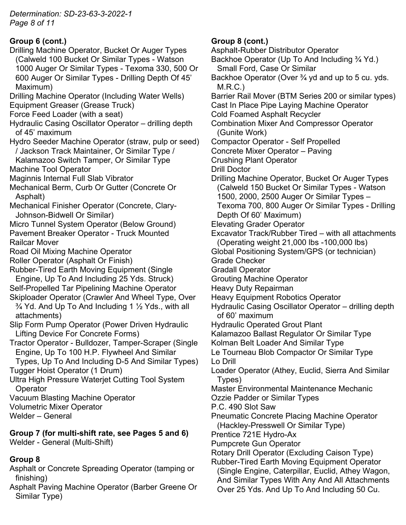*Determination: SD-23-63-3-2022-1 Page 8 of 11*

# **Group 6 (cont.)**

- Drilling Machine Operator, Bucket Or Auger Types (Calweld 100 Bucket Or Similar Types - Watson 1000 Auger Or Similar Types - Texoma 330, 500 Or 600 Auger Or Similar Types - Drilling Depth Of 45' Maximum)
- Drilling Machine Operator (Including Water Wells) Equipment Greaser (Grease Truck)
- Force Feed Loader (with a seat)
- Hydraulic Casing Oscillator Operator drilling depth of 45' maximum
- Hydro Seeder Machine Operator (straw, pulp or seed) / Jackson Track Maintainer, Or Similar Type /
- Kalamazoo Switch Tamper, Or Similar Type Machine Tool Operator
- Maginnis Internal Full Slab Vibrator
- Mechanical Berm, Curb Or Gutter (Concrete Or Asphalt)
- Mechanical Finisher Operator (Concrete, Clary-Johnson-Bidwell Or Similar)
- Micro Tunnel System Operator (Below Ground)
- Pavement Breaker Operator Truck Mounted Railcar Mover
- Road Oil Mixing Machine Operator
- Roller Operator (Asphalt Or Finish)
- Rubber-Tired Earth Moving Equipment (Single Engine, Up To And Including 25 Yds. Struck)
- Self-Propelled Tar Pipelining Machine Operator
- Skiploader Operator (Crawler And Wheel Type, Over  $\frac{3}{4}$  Yd. And Up To And Including 1  $\frac{1}{2}$  Yds., with all attachments)
- Slip Form Pump Operator (Power Driven Hydraulic Lifting Device For Concrete Forms)
- Tractor Operator Bulldozer, Tamper-Scraper (Single Engine, Up To 100 H.P. Flywheel And Similar Types, Up To And Including D-5 And Similar Types)
- Tugger Hoist Operator (1 Drum)
- Ultra High Pressure Waterjet Cutting Tool System **Operator**
- Vacuum Blasting Machine Operator
- Volumetric Mixer Operator
- Welder General

**Group 7 (for multi-shift rate, see Pages 5 and 6)** Welder - General (Multi-Shift)

# **Group 8**

- Asphalt or Concrete Spreading Operator (tamping or finishing)
- Asphalt Paving Machine Operator (Barber Greene Or Similar Type)

# **Group 8 (cont.)**

Asphalt-Rubber Distributor Operator Backhoe Operator (Up To And Including ¾ Yd.) Small Ford, Case Or Similar Backhoe Operator (Over <sup>3</sup>/<sub>4</sub> yd and up to 5 cu. yds. M.R.C.) Barrier Rail Mover (BTM Series 200 or similar types) Cast In Place Pipe Laying Machine Operator Cold Foamed Asphalt Recycler Combination Mixer And Compressor Operator (Gunite Work) Compactor Operator - Self Propelled Concrete Mixer Operator – Paving Crushing Plant Operator Drill Doctor Drilling Machine Operator, Bucket Or Auger Types (Calweld 150 Bucket Or Similar Types - Watson 1500, 2000, 2500 Auger Or Similar Types – Texoma 700, 800 Auger Or Similar Types - Drilling Depth Of 60' Maximum) Elevating Grader Operator Excavator Track/Rubber Tired – with all attachments (Operating weight 21,000 lbs -100,000 lbs) Global Positioning System/GPS (or technician) Grade Checker Gradall Operator Grouting Machine Operator Heavy Duty Repairman Heavy Equipment Robotics Operator Hydraulic Casing Oscillator Operator – drilling depth of 60' maximum Hydraulic Operated Grout Plant Kalamazoo Ballast Regulator Or Similar Type Kolman Belt Loader And Similar Type Le Tourneau Blob Compactor Or Similar Type Lo Drill Loader Operator (Athey, Euclid, Sierra And Similar Types) Master Environmental Maintenance Mechanic Ozzie Padder or Similar Types P.C. 490 Slot Saw Pneumatic Concrete Placing Machine Operator (Hackley-Presswell Or Similar Type) Prentice 721E Hydro-Ax Pumpcrete Gun Operator Rotary Drill Operator (Excluding Caison Type) Rubber-Tired Earth Moving Equipment Operator (Single Engine, Caterpillar, Euclid, Athey Wagon, And Similar Types With Any And All Attachments

Over 25 Yds. And Up To And Including 50 Cu.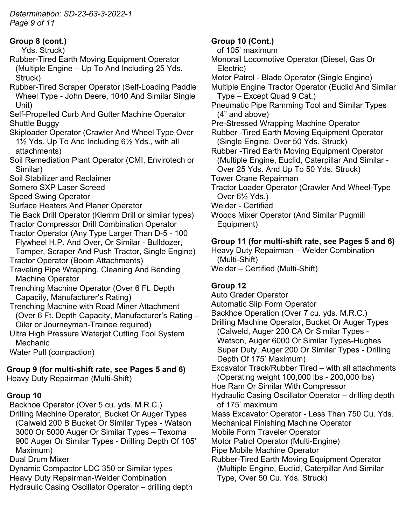*Determination: SD-23-63-3-2022-1 Page 9 of 11*

**Group 8 (cont.)**

Yds. Struck)

- Rubber-Tired Earth Moving Equipment Operator (Multiple Engine – Up To And Including 25 Yds. Struck)
- Rubber-Tired Scraper Operator (Self-Loading Paddle Wheel Type - John Deere, 1040 And Similar Single Unit)

Self-Propelled Curb And Gutter Machine Operator Shuttle Buggy

- Skiploader Operator (Crawler And Wheel Type Over 1½ Yds. Up To And Including 6½ Yds., with all attachments)
- Soil Remediation Plant Operator (CMI, Envirotech or Similar)
- Soil Stabilizer and Reclaimer

Somero SXP Laser Screed

- Speed Swing Operator
- Surface Heaters And Planer Operator

Tie Back Drill Operator (Klemm Drill or similar types)

Tractor Compressor Drill Combination Operator

- Tractor Operator (Any Type Larger Than D-5 100 Flywheel H.P. And Over, Or Similar - Bulldozer, Tamper, Scraper And Push Tractor, Single Engine)
- Tractor Operator (Boom Attachments)

Traveling Pipe Wrapping, Cleaning And Bending Machine Operator

Trenching Machine Operator (Over 6 Ft. Depth Capacity, Manufacturer's Rating)

- Trenching Machine with Road Miner Attachment (Over 6 Ft. Depth Capacity, Manufacturer's Rating – Oiler or Journeyman-Trainee required)
- Ultra High Pressure Waterjet Cutting Tool System Mechanic

Water Pull (compaction)

**Group 9 (for multi-shift rate, see Pages 5 and 6)** Heavy Duty Repairman (Multi-Shift)

# **Group 10**

Backhoe Operator (Over 5 cu. yds. M.R.C.) Drilling Machine Operator, Bucket Or Auger Types (Calweld 200 B Bucket Or Similar Types - Watson 3000 Or 5000 Auger Or Similar Types – Texoma 900 Auger Or Similar Types - Drilling Depth Of 105' Maximum)

Dual Drum Mixer

Dynamic Compactor LDC 350 or Similar types Heavy Duty Repairman-Welder Combination Hydraulic Casing Oscillator Operator – drilling depth

# **Group 10 (Cont.)**

of 105' maximum

Monorail Locomotive Operator (Diesel, Gas Or Electric)

- Motor Patrol Blade Operator (Single Engine)
- Multiple Engine Tractor Operator (Euclid And Similar Type – Except Quad 9 Cat.)
- Pneumatic Pipe Ramming Tool and Similar Types (4" and above)

Pre-Stressed Wrapping Machine Operator

Rubber -Tired Earth Moving Equipment Operator (Single Engine, Over 50 Yds. Struck)

Rubber -Tired Earth Moving Equipment Operator (Multiple Engine, Euclid, Caterpillar And Similar - Over 25 Yds. And Up To 50 Yds. Struck)

Tower Crane Repairman

Tractor Loader Operator (Crawler And Wheel-Type Over 6½ Yds.)

Welder - Certified

Woods Mixer Operator (And Similar Pugmill Equipment)

# **Group 11 (for multi-shift rate, see Pages 5 and 6)**

Heavy Duty Repairman – Welder Combination (Multi-Shift) Welder – Certified (Multi-Shift)

# **Group 12**

Auto Grader Operator

Automatic Slip Form Operator

Backhoe Operation (Over 7 cu. yds. M.R.C.)

Drilling Machine Operator, Bucket Or Auger Types (Calweld, Auger 200 CA Or Similar Types - Watson, Auger 6000 Or Similar Types-Hughes Super Duty, Auger 200 Or Similar Types - Drilling Depth Of 175' Maximum)

Excavator Track/Rubber Tired – with all attachments (Operating weight 100,000 lbs - 200,000 lbs)

Hoe Ram Or Similar With Compressor

Hydraulic Casing Oscillator Operator – drilling depth of 175' maximum

Mass Excavator Operator - Less Than 750 Cu. Yds. Mechanical Finishing Machine Operator

Mobile Form Traveler Operator

Motor Patrol Operator (Multi-Engine)

Pipe Mobile Machine Operator

Rubber-Tired Earth Moving Equipment Operator (Multiple Engine, Euclid, Caterpillar And Similar Type, Over 50 Cu. Yds. Struck)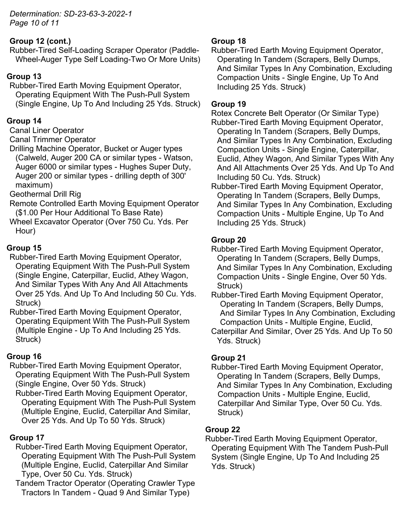*Determination: SD-23-63-3-2022-1 Page 10 of 11*

# **Group 12 (cont.)**

Rubber-Tired Self-Loading Scraper Operator (Paddle-Wheel-Auger Type Self Loading-Two Or More Units)

# **Group 13**

Rubber-Tired Earth Moving Equipment Operator, Operating Equipment With The Push-Pull System (Single Engine, Up To And Including 25 Yds. Struck)

# **Group 14**

Canal Liner Operator

### Canal Trimmer Operator

Drilling Machine Operator, Bucket or Auger types (Calweld, Auger 200 CA or similar types - Watson, Auger 6000 or similar types - Hughes Super Duty, Auger 200 or similar types - drilling depth of 300' maximum)

Geothermal Drill Rig

- Remote Controlled Earth Moving Equipment Operator (\$1.00 Per Hour Additional To Base Rate)
- Wheel Excavator Operator (Over 750 Cu. Yds. Per Hour)

# **Group 15**

- Rubber-Tired Earth Moving Equipment Operator, Operating Equipment With The Push-Pull System (Single Engine, Caterpillar, Euclid, Athey Wagon, And Similar Types With Any And All Attachments Over 25 Yds. And Up To And Including 50 Cu. Yds. Struck)
- Rubber-Tired Earth Moving Equipment Operator, Operating Equipment With The Push-Pull System (Multiple Engine - Up To And Including 25 Yds. Struck)

# **Group 16**

Rubber-Tired Earth Moving Equipment Operator, Operating Equipment With The Push-Pull System (Single Engine, Over 50 Yds. Struck)

Rubber-Tired Earth Moving Equipment Operator, Operating Equipment With The Push-Pull System (Multiple Engine, Euclid, Caterpillar And Similar, Over 25 Yds. And Up To 50 Yds. Struck)

# **Group 17**

- Rubber-Tired Earth Moving Equipment Operator, Operating Equipment With The Push-Pull System (Multiple Engine, Euclid, Caterpillar And Similar Type, Over 50 Cu. Yds. Struck)
- Tandem Tractor Operator (Operating Crawler Type Tractors In Tandem - Quad 9 And Similar Type)

# **Group 18**

Rubber-Tired Earth Moving Equipment Operator, Operating In Tandem (Scrapers, Belly Dumps, And Similar Types In Any Combination, Excluding Compaction Units - Single Engine, Up To And Including 25 Yds. Struck)

### **Group 19**

Rotex Concrete Belt Operator (Or Similar Type) Rubber-Tired Earth Moving Equipment Operator, Operating In Tandem (Scrapers, Belly Dumps, And Similar Types In Any Combination, Excluding Compaction Units - Single Engine, Caterpillar, Euclid, Athey Wagon, And Similar Types With Any And All Attachments Over 25 Yds. And Up To And Including 50 Cu. Yds. Struck)

Rubber-Tired Earth Moving Equipment Operator, Operating In Tandem (Scrapers, Belly Dumps, And Similar Types In Any Combination, Excluding Compaction Units - Multiple Engine, Up To And Including 25 Yds. Struck)

# **Group 20**

- Rubber-Tired Earth Moving Equipment Operator, Operating In Tandem (Scrapers, Belly Dumps, And Similar Types In Any Combination, Excluding Compaction Units - Single Engine, Over 50 Yds. Struck)
- Rubber-Tired Earth Moving Equipment Operator, Operating In Tandem (Scrapers, Belly Dumps, And Similar Types In Any Combination, Excluding Compaction Units - Multiple Engine, Euclid,
- Caterpillar And Similar, Over 25 Yds. And Up To 50 Yds. Struck)

# **Group 21**

Rubber-Tired Earth Moving Equipment Operator, Operating In Tandem (Scrapers, Belly Dumps, And Similar Types In Any Combination, Excluding Compaction Units - Multiple Engine, Euclid, Caterpillar And Similar Type, Over 50 Cu. Yds. Struck)

# **Group 22**

Rubber-Tired Earth Moving Equipment Operator, Operating Equipment With The Tandem Push-Pull System (Single Engine, Up To And Including 25 Yds. Struck)